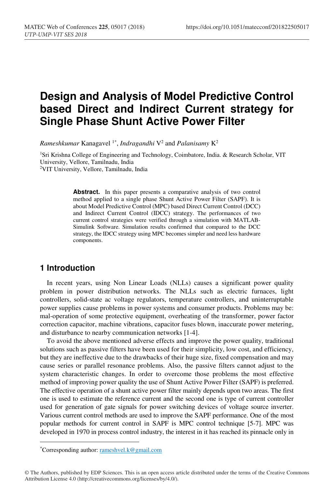# **Design and Analysis of Model Predictive Control based Direct and Indirect Current strategy for Single Phase Shunt Active Power Filter**

*Rameshkumar* Kanagavel 1\*, *Indragandhi* V2 and *Palanisamy* K2

1Sri Krishna College of Engineering and Technology, Coimbatore, India. & Research Scholar, VIT University, Vellore, Tamilnadu, India 2VIT University, Vellore, Tamilnadu, India

> **Abstract.** In this paper presents a comparative analysis of two control method applied to a single phase Shunt Active Power Filter (SAPF). It is about Model Predictive Control (MPC) based Direct Current Control (DCC) and Indirect Current Control (IDCC) strategy. The performances of two current control strategies were verified through a simulation with MATLAB-Simulink Software. Simulation results confirmed that compared to the DCC strategy, the IDCC strategy using MPC becomes simpler and need less hardware components.

### **1 Introduction**

-

In recent years, using Non Linear Loads (NLLs) causes a significant power quality problem in power distribution networks. The NLLs such as electric furnaces, light controllers, solid-state ac voltage regulators, temperature controllers, and uninterruptable power supplies cause problems in power systems and consumer products. Problems may be: mal-operation of some protective equipment, overheating of the transformer, power factor correction capacitor, machine vibrations, capacitor fuses blown, inaccurate power metering, and disturbance to nearby communication networks [1-4].

To avoid the above mentioned adverse effects and improve the power quality, traditional solutions such as passive filters have been used for their simplicity, low cost, and efficiency, but they are ineffective due to the drawbacks of their huge size, fixed compensation and may cause series or parallel resonance problems. Also, the passive filters cannot adjust to the system characteristic changes. In order to overcome those problems the most effective method of improving power quality the use of Shunt Active Power Filter (SAPF) is preferred. The effective operation of a shunt active power filter mainly depends upon two areas. The first one is used to estimate the reference current and the second one is type of current controller used for generation of gate signals for power switching devices of voltage source inverter. Various current control methods are used to improve the SAPF performance. One of the most popular methods for current control in SAPF is MPC control technique [5-7]. MPC was developed in 1970 in process control industry, the interest in it has reached its pinnacle only in

<sup>\*</sup>Corresponding author: rameshvel.k@gmail.com

<sup>©</sup> The Authors, published by EDP Sciences. This is an open access article distributed under the terms of the Creative Commons Attribution License 4.0 (http://creativecommons.org/licenses/by/4.0/).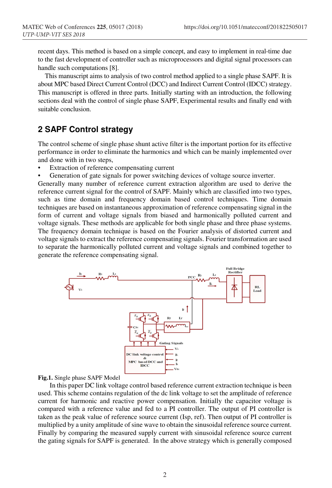recent days. This method is based on a simple concept, and easy to implement in real-time due to the fast development of controller such as microprocessors and digital signal processors can handle such computations [8].

This manuscript aims to analysis of two control method applied to a single phase SAPF. It is about MPC based Direct Current Control (DCC) and Indirect Current Control (IDCC) strategy. This manuscript is offered in three parts. Initially starting with an introduction, the following sections deal with the control of single phase SAPF, Experimental results and finally end with suitable conclusion.

# **2 SAPF Control strategy**

The control scheme of single phase shunt active filter is the important portion for its effective performance in order to eliminate the harmonics and which can be mainly implemented over and done with in two steps,

- Extraction of reference compensating current
- Generation of gate signals for power switching devices of voltage source inverter.

Generally many number of reference current extraction algorithm are used to derive the reference current signal for the control of SAPF. Mainly which are classified into two types, such as time domain and frequency domain based control techniques. Time domain techniques are based on instantaneous approximation of reference compensating signal in the form of current and voltage signals from biased and harmonically polluted current and voltage signals. These methods are applicable for both single phase and three phase systems. The frequency domain technique is based on the Fourier analysis of distorted current and voltage signals to extract the reference compensating signals. Fourier transformation are used to separate the harmonically polluted current and voltage signals and combined together to generate the reference compensating signal.



#### **Fig.1.** Single phase SAPF Model

 In this paper DC link voltage control based reference current extraction technique is been used. This scheme contains regulation of the dc link voltage to set the amplitude of reference current for harmonic and reactive power compensation. Initially the capacitor voltage is compared with a reference value and fed to a PI controller. The output of PI controller is taken as the peak value of reference source current (Isp, ref). Then output of PI controller is multiplied by a unity amplitude of sine wave to obtain the sinusoidal reference source current. Finally by comparing the measured supply current with sinusoidal reference source current the gating signals for SAPF is generated. In the above strategy which is generally composed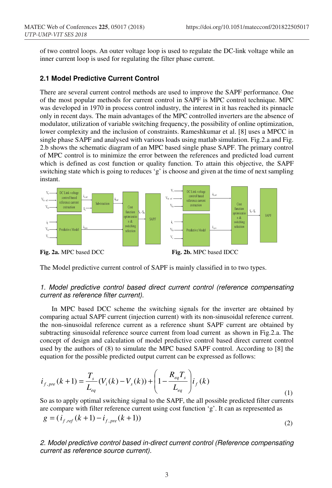of two control loops. An outer voltage loop is used to regulate the DC-link voltage while an inner current loop is used for regulating the filter phase current.

#### **2.1 Model Predictive Current Control**

There are several current control methods are used to improve the SAPF performance. One of the most popular methods for current control in SAPF is MPC control technique. MPC was developed in 1970 in process control industry, the interest in it has reached its pinnacle only in recent days. The main advantages of the MPC controlled inverters are the absence of modulator, utilization of variable switching frequency, the possibility of online optimization, lower complexity and the inclusion of constraints. Rameshkumar et al. [8] uses a MPCC in single phase SAPF and analysed with various loads using matlab simulation. Fig.2.a and Fig. 2.b shows the schematic diagram of an MPC based single phase SAPF. The primary control of MPC control is to minimize the error between the references and predicted load current which is defined as cost function or quality function. To attain this objective, the SAPF switching state which is going to reduces 'g' is choose and given at the time of next sampling instant.



The Model predictive current control of SAPF is mainly classified in to two types.

#### 1. Model predictive control based direct current control (reference compensating current as reference filter current).

 In MPC based DCC scheme the switching signals for the inverter are obtained by comparing actual SAPF current (injection current) with its non-sinusoidal reference current. the non-sinusoidal reference current as a reference shunt SAPF current are obtained by subtracting sinusoidal reference source current from load current as shown in Fig.2.a. The concept of design and calculation of model predictive control based direct current control used by the authors of (8) to simulate the MPC based SAPF control. According to [8] the equation for the possible predicted output current can be expressed as follows:

$$
i_{f, pre}(k+1) = \frac{T_s}{L_{eq}}(V_i(k) - V_s(k)) + \left(1 - \frac{R_{eq}T_s}{L_{eq}}\right)i_f(k)
$$
\n(1)

So as to apply optimal switching signal to the SAPF, the all possible predicted filter currents are compare with filter reference current using cost function 'g'. It can as represented as  $g = (i_{f,ref}(k+1) - i_{f,pre}(k+1))$ (2)

2. Model predictive control based in-direct current control (Reference compensating current as reference source current).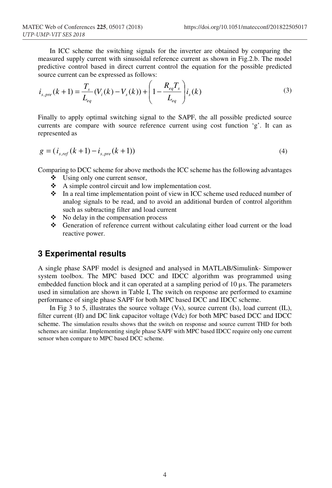In ICC scheme the switching signals for the inverter are obtained by comparing the measured supply current with sinusoidal reference current as shown in Fig.2.b. The model predictive control based in direct current control the equation for the possible predicted source current can be expressed as follows:

$$
i_{s, pre}(k+1) = \frac{T_s}{L_{eq}}(V_i(k) - V_s(k)) + \left(1 - \frac{R_{eq}T_s}{L_{eq}}\right)i_s(k)
$$
\n(3)

Finally to apply optimal switching signal to the SAPF, the all possible predicted source currents are compare with source reference current using cost function 'g'. It can as represented as

$$
g = (i_{s,ref}(k+1) - i_{s,pre}(k+1))
$$
\n(4)

Comparing to DCC scheme for above methods the ICC scheme has the following advantages

- $\triangleleft$  Using only one current sensor,
- $\triangle$  A simple control circuit and low implementation cost.
- $\bullet$  In a real time implementation point of view in ICC scheme used reduced number of analog signals to be read, and to avoid an additional burden of control algorithm such as subtracting filter and load current
- $\bullet$  No delay in the compensation process
- Generation of reference current without calculating either load current or the load reactive power.

#### **3 Experimental results**

A single phase SAPF model is designed and analysed in MATLAB/Simulink- Simpower system toolbox. The MPC based DCC and IDCC algorithm was programmed using embedded function block and it can operated at a sampling period of 10 µs. The parameters used in simulation are shown in Table I, The switch on response are performed to examine performance of single phase SAPF for both MPC based DCC and IDCC scheme.

In Fig 3 to 5, illustrates the source voltage  $(Vs)$ , source current  $(Is)$ , load current  $(IL)$ , filter current (If) and DC link capacitor voltage (Vdc) for both MPC based DCC and IDCC scheme. The simulation results shows that the switch on response and source current THD for both schemes are similar. Implementing single phase SAPF with MPC based IDCC require only one current sensor when compare to MPC based DCC scheme.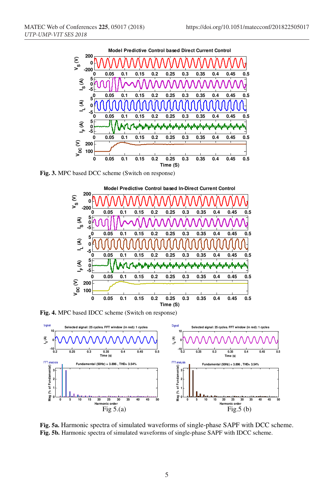

**Fig. 3.** MPC based DCC scheme (Switch on response)



**Fig. 4.** MPC based IDCC scheme (Switch on response)



**Fig. 5a.** Harmonic spectra of simulated waveforms of single-phase SAPF with DCC scheme. **Fig. 5b.** Harmonic spectra of simulated waveforms of single-phase SAPF with IDCC scheme.